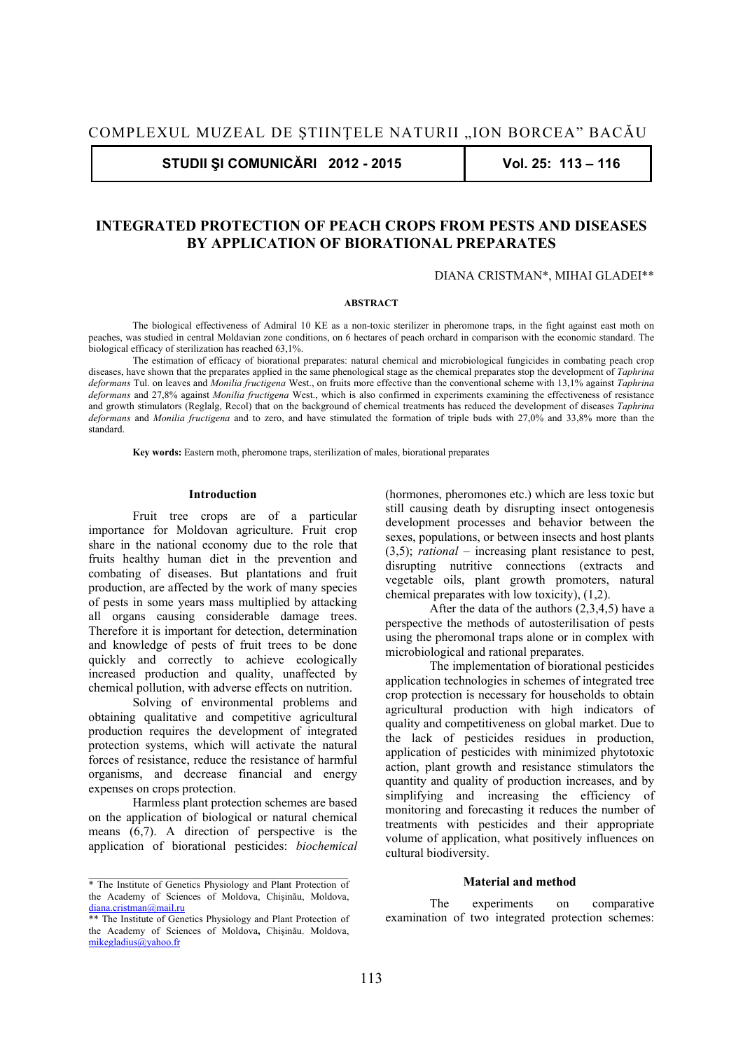**STUDII ŞI COMUNICĂRI 2012 - 2015 Vol. 25: 113 – 116** 

# **INTEGRATED PROTECTION OF PEACH CROPS FROM PESTS AND DISEASES BY APPLICATION OF BIORATIONAL PREPARATES**

DIANA CRISTMAN\*, MIHAI GLADEI\*\*

## **ABSTRACT**

The biological effectiveness of Admiral 10 KE as a non-toxic sterilizer in pheromone traps, in the fight against east moth on peaches, was studied in central Moldavian zone conditions, on 6 hectares of peach orchard in comparison with the economic standard. The biological efficacy of sterilization has reached 63,1%.

The estimation of efficacy of biorational preparates: natural chemical and microbiological fungicides in combating peach crop diseases, have shown that the preparates applied in the same phenological stage as the chemical preparates stop the development of *Taphrina deformans* Tul. on leaves and *Monilia fructigena* West., on fruits more effective than the conventional scheme with 13,1% against *Taphrina deformans* and 27,8% against *Monilia fructigena* West., which is also confirmed in experiments examining the effectiveness of resistance and growth stimulators (Reglalg, Recol) that on the background of chemical treatments has reduced the development of diseases *Taphrina deformans* and *Monilia fructigena* and to zero, and have stimulated the formation of triple buds with 27,0% and 33,8% more than the standard.

 **Key words:** Eastern moth, pheromone traps, sterilization of males, biorational preparates

#### **Introduction**

Fruit tree crops are of a particular importance for Moldovan agriculture. Fruit crop share in the national economy due to the role that fruits healthy human diet in the prevention and combating of diseases. But plantations and fruit production, are affected by the work of many species of pests in some years mass multiplied by attacking all organs causing considerable damage trees. Therefore it is important for detection, determination and knowledge of pests of fruit trees to be done quickly and correctly to achieve ecologically increased production and quality, unaffected by chemical pollution, with adverse effects on nutrition.

Solving of environmental problems and obtaining qualitative and competitive agricultural production requires the development of integrated protection systems, which will activate the natural forces of resistance, reduce the resistance of harmful organisms, and decrease financial and energy expenses on crops protection.

Harmless plant protection schemes are based on the application of biological or natural chemical means (6,7). A direction of perspective is the application of biorational pesticides: *biochemical*

(hormones, pheromones etc.) which are less toxic but still causing death by disrupting insect ontogenesis development processes and behavior between the sexes, populations, or between insects and host plants (3,5); *rational* – increasing plant resistance to pest, disrupting nutritive connections (extracts and vegetable oils, plant growth promoters, natural chemical preparates with low toxicity), (1,2).

After the data of the authors  $(2,3,4,5)$  have a perspective the methods of autosterilisation of pests using the pheromonal traps alone or in complex with microbiological and rational preparates.

The implementation of biorational pesticides application technologies in schemes of integrated tree crop protection is necessary for households to obtain agricultural production with high indicators of quality and competitiveness on global market. Due to the lack of pesticides residues in production, application of pesticides with minimized phytotoxic action, plant growth and resistance stimulators the quantity and quality of production increases, and by simplifying and increasing the efficiency of monitoring and forecasting it reduces the number of treatments with pesticides and their appropriate volume of application, what positively influences on cultural biodiversity.

## **Material and method**

The experiments on comparative examination of two integrated protection schemes:

<sup>\*</sup> The Institute of Genetics Physiology and Plant Protection of the Academy of Sciences of Moldova, Chişinău, Moldova, diana.cristman@mail.ru

<sup>\*\*</sup> The Institute of Genetics Physiology and Plant Protection of the Academy of Sciences of Moldova**,** Chişinău. Moldova, mikegladius@yahoo.fr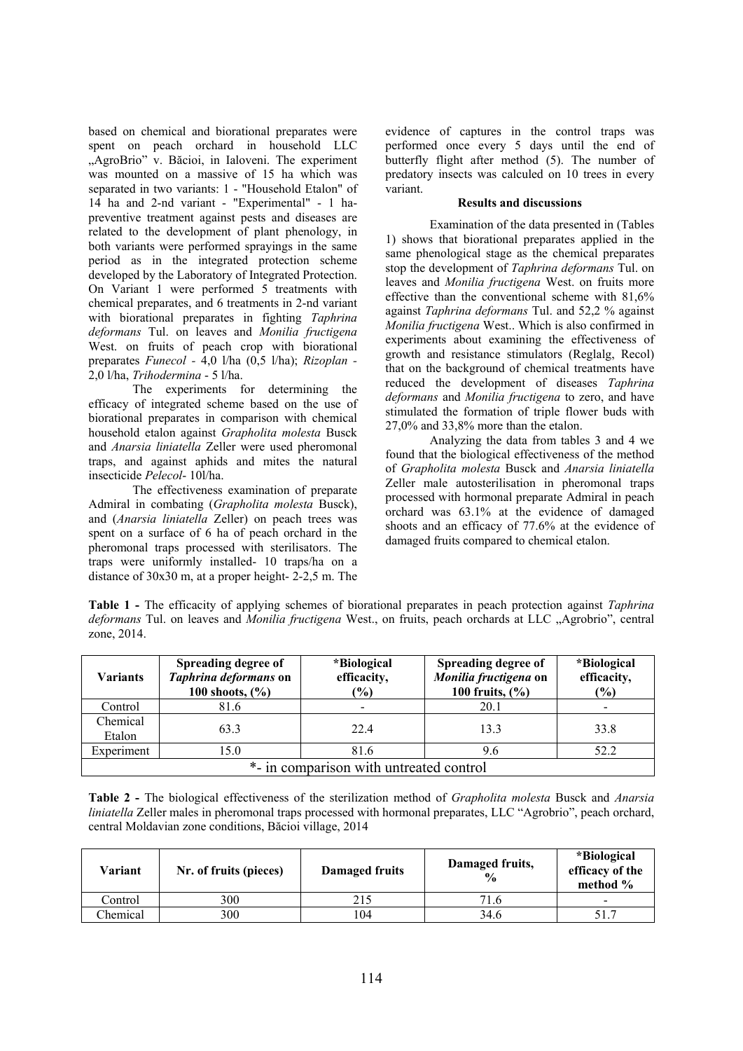based on chemical and biorational preparates were spent on peach orchard in household LLC "AgroBrio" v. Băcioi, in Ialoveni. The experiment was mounted on a massive of 15 ha which was separated in two variants: 1 - "Household Etalon" of 14 ha and 2-nd variant - "Experimental" - 1 hapreventive treatment against pests and diseases are related to the development of plant phenology, in both variants were performed sprayings in the same period as in the integrated protection scheme developed by the Laboratory of Integrated Protection. On Variant 1 were performed 5 treatments with chemical preparates, and 6 treatments in 2-nd variant with biorational preparates in fighting *Taphrina deformans* Tul. on leaves and *Monilia fructigena* West. on fruits of peach crop with biorational preparates *Funecol -* 4,0 l/ha (0,5 l/ha); *Rizoplan -*  2,0 l/ha, *Trihodermina* - 5 l/ha.

The experiments for determining the efficacy of integrated scheme based on the use of biorational preparates in comparison with chemical household etalon against *Grapholita molesta* Busck and *Anarsia liniatella* Zeller were used pheromonal traps, and against aphids and mites the natural insecticide *Pelecol*- 10l/ha.

The effectiveness examination of preparate Admiral in combating (*Grapholita molesta* Busck), and (*Anarsia liniatella* Zeller) on peach trees was spent on a surface of 6 ha of peach orchard in the pheromonal traps processed with sterilisators. The traps were uniformly installed- 10 traps/ha on a distance of 30x30 m, at a proper height- 2-2,5 m. The

evidence of captures in the control traps was performed once every 5 days until the end of butterfly flight after method (5). The number of predatory insects was calculed on 10 trees in every variant.

# **Results and discussions**

Examination of the data presented in (Tables 1) shows that biorational preparates applied in the same phenological stage as the chemical preparates stop the development of *Taphrina deformans* Tul. on leaves and *Monilia fructigena* West. on fruits more effective than the conventional scheme with 81,6% against *Taphrina deformans* Tul. and 52,2 % against *Monilia fructigena* West.. Which is also confirmed in experiments about examining the effectiveness of growth and resistance stimulators (Reglalg, Recol) that on the background of chemical treatments have reduced the development of diseases *Taphrina deformans* and *Monilia fructigena* to zero, and have stimulated the formation of triple flower buds with 27,0% and 33,8% more than the etalon.

Analyzing the data from tables 3 and 4 we found that the biological effectiveness of the method of *Grapholita molesta* Busck and *Anarsia liniatella* Zeller male autosterilisation in pheromonal traps processed with hormonal preparate Admiral in peach orchard was 63.1% at the evidence of damaged shoots and an efficacy of 77.6% at the evidence of damaged fruits compared to chemical etalon.

**Table 1 -** The efficacity of applying schemes of biorational preparates in peach protection against *Taphrina deformans* Tul. on leaves and *Monilia fructigena* West., on fruits, peach orchards at LLC "Agrobrio", central zone, 2014.

| <b>Variants</b>                         | Spreading degree of<br>Taphrina deformans on<br>100 shoots, $(\frac{6}{6})$ | *Biological<br>efficacity,<br>$\frac{1}{2}$ | Spreading degree of<br>Monilia fructigena on<br>100 fruits, $(\% )$ | *Biological<br>efficacity,<br>(%) |
|-----------------------------------------|-----------------------------------------------------------------------------|---------------------------------------------|---------------------------------------------------------------------|-----------------------------------|
| Control                                 | 81.6                                                                        | $\overline{\phantom{a}}$                    | 20.1                                                                | ۰                                 |
| Chemical<br>Etalon                      | 63.3                                                                        | 22.4                                        | 13.3                                                                | 33.8                              |
| Experiment                              | 15.0                                                                        | 81.6                                        | 9.6                                                                 | 52.2                              |
| *- in comparison with untreated control |                                                                             |                                             |                                                                     |                                   |

**Table 2 -** The biological effectiveness of the sterilization method of *Grapholita molesta* Busck and *Anarsia liniatella* Zeller males in pheromonal traps processed with hormonal preparates, LLC "Agrobrio", peach orchard, central Moldavian zone conditions, Băcioi village, 2014

| Variant  | Nr. of fruits (pieces) | Damaged fruits | Damaged fruits,<br>$\frac{0}{0}$ | <i>*Biological</i><br>efficacy of the<br>method $%$ |
|----------|------------------------|----------------|----------------------------------|-----------------------------------------------------|
| Control  | 300                    | 215            | 71.6                             | $\overline{\phantom{0}}$                            |
| Chemical | 300                    | 104            | 34.6                             | 51.                                                 |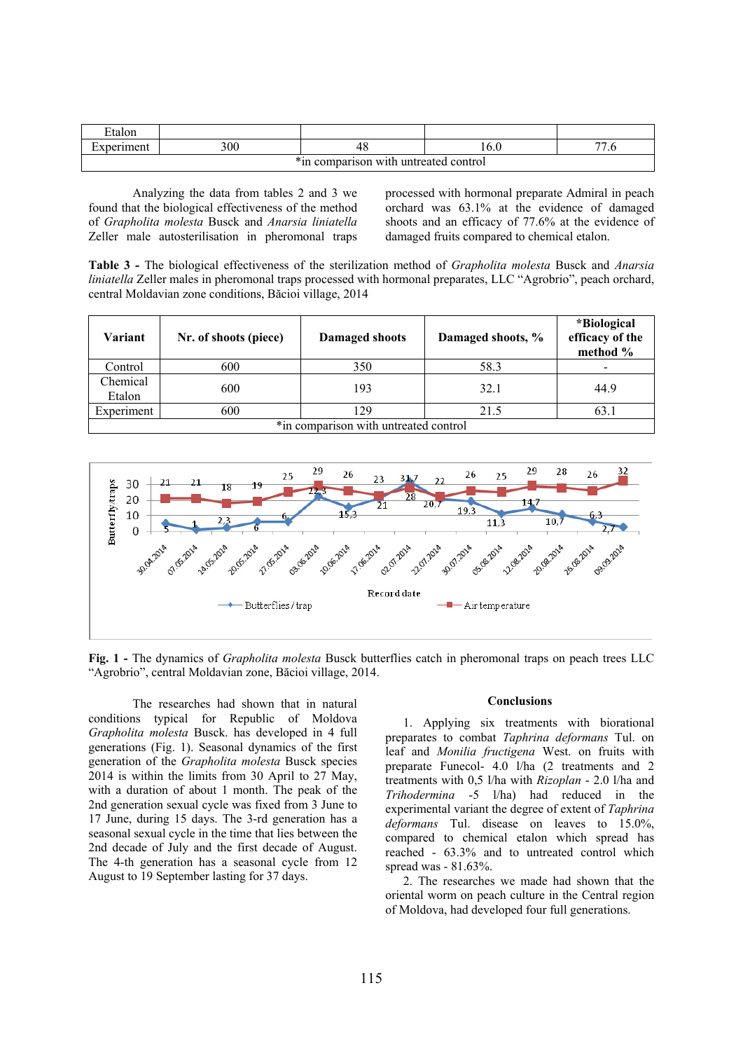| Etalon                                        |     |    |  |                     |  |
|-----------------------------------------------|-----|----|--|---------------------|--|
| :xperiment                                    | 300 | 48 |  | $\overline{ }$<br>w |  |
| $*_{in}$<br>Comparison with untreated control |     |    |  |                     |  |

Analyzing the data from tables 2 and 3 we found that the biological effectiveness of the method of *Grapholita molesta* Busck and *Anarsia liniatella* Zeller male autosterilisation in pheromonal traps processed with hormonal preparate Admiral in peach orchard was 63.1% at the evidence of damaged shoots and an efficacy of 77.6% at the evidence of damaged fruits compared to chemical etalon.

**Table 3 -** The biological effectiveness of the sterilization method of *Grapholita molesta* Busck and *Anarsia liniatella* Zeller males in pheromonal traps processed with hormonal preparates, LLC "Agrobrio", peach orchard, central Moldavian zone conditions, Băcioi village, 2014

| Variant                               | Nr. of shoots (piece) | <b>Damaged shoots</b> | Damaged shoots, % | <i>*Biological</i><br>efficacy of the<br>method % |
|---------------------------------------|-----------------------|-----------------------|-------------------|---------------------------------------------------|
| Control                               | 600                   | 350                   | 58.3              |                                                   |
| Chemical<br>Etalon                    | 600                   | 193                   | 32.1              | 44.9                                              |
| Experiment                            | 600                   | 129                   | 21.5              | 63.1                                              |
| *in comparison with untreated control |                       |                       |                   |                                                   |



**Fig. 1 -** The dynamics of *Grapholita molesta* Busck butterflies catch in pheromonal traps on peach trees LLC "Agrobrio", central Moldavian zone, Băcioi village, 2014.

The researches had shown that in natural conditions typical for Republic of Moldova *Grapholita molesta* Busck. has developed in 4 full generations (Fig. 1). Seasonal dynamics of the first generation of the *Grapholita molesta* Busck species 2014 is within the limits from 30 April to 27 May, with a duration of about 1 month. The peak of the 2nd generation sexual cycle was fixed from 3 June to 17 June, during 15 days. The 3-rd generation has a seasonal sexual cycle in the time that lies between the 2nd decade of July and the first decade of August. The 4-th generation has a seasonal cycle from 12 August to 19 September lasting for 37 days.

#### **Conclusions**

1. Applying six treatments with biorational preparates to combat *Taphrina deformans* Tul. on leaf and *Monilia fructigena* West. on fruits with preparate Funecol- 4.0 l/ha (2 treatments and 2 treatments with 0,5 l/ha with *Rizoplan* - 2.0 l/ha and *Trihodermina* -5 l/ha) had reduced in the experimental variant the degree of extent of *Taphrina deformans* Tul. disease on leaves to 15.0%, compared to chemical etalon which spread has reached - 63.3% and to untreated control which spread was - 81.63%.

2. The researches we made had shown that the oriental worm on peach culture in the Central region of Moldova, had developed four full generations.